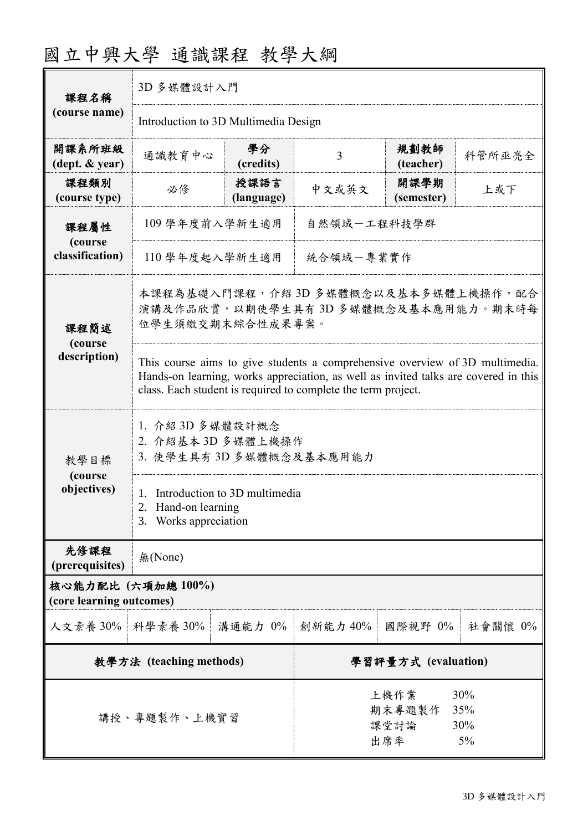| 課程名稱                                           | 3D 多媒體設計入門                                                                                                                                                                                                                           |                    |                                                             |                    |         |  |
|------------------------------------------------|--------------------------------------------------------------------------------------------------------------------------------------------------------------------------------------------------------------------------------------|--------------------|-------------------------------------------------------------|--------------------|---------|--|
| (course name)                                  | Introduction to 3D Multimedia Design                                                                                                                                                                                                 |                    |                                                             |                    |         |  |
| 開課系所班級<br>(dept. & year)                       | 通識教育中心                                                                                                                                                                                                                               | 學分<br>(credits)    | 3                                                           | 規劃教師<br>(teacher)  | 科管所巫亮全  |  |
| 課程類別<br>(course type)                          | 必修                                                                                                                                                                                                                                   | 授課語言<br>(language) | 中文或英文                                                       | 開課學期<br>(semester) | 上或下     |  |
| 課程屬性<br>(course<br>classification)             | 109 學年度前入學新生適用                                                                                                                                                                                                                       |                    | 自然領域一工程科技學群                                                 |                    |         |  |
|                                                | 110 學年度起入學新生適用                                                                                                                                                                                                                       |                    | 統合領域一專業實作                                                   |                    |         |  |
| 課程簡述<br>(course                                | 本課程為基礎入門課程,介紹 3D 多媒體概念以及基本多媒體上機操作,配合<br>演講及作品欣賞,以期使學生具有3D多媒體概念及基本應用能力。期末時每<br>位學生須繳交期末綜合性成果專案。                                                                                                                                       |                    |                                                             |                    |         |  |
| description)                                   | This course aims to give students a comprehensive overview of 3D multimedia.<br>Hands-on learning, works appreciation, as well as invited talks are covered in this<br>class. Each student is required to complete the term project. |                    |                                                             |                    |         |  |
| 教學目標<br>(course<br>objectives)                 | 1. 介紹 3D 多媒體設計概念<br>2. 介紹基本 3D 多媒體上機操作<br>3. 使學生具有3D 多媒體概念及基本應用能力                                                                                                                                                                    |                    |                                                             |                    |         |  |
|                                                | 1. Introduction to 3D multimedia<br>2.<br>Hand-on learning<br>3. Works appreciation                                                                                                                                                  |                    |                                                             |                    |         |  |
| 先修課程<br>(prerequisites)                        | 無(None)                                                                                                                                                                                                                              |                    |                                                             |                    |         |  |
| 核心能力配比 (六項加總 100%)<br>(core learning outcomes) |                                                                                                                                                                                                                                      |                    |                                                             |                    |         |  |
| 人文素養 30% 科學素養 30%                              |                                                                                                                                                                                                                                      | 溝通能力 0%            | 創新能力 40%                                                    | 國際視野 0%            | 社會關懷 0% |  |
| 教學方法 (teaching methods)                        |                                                                                                                                                                                                                                      |                    | 學習評量方式 (evaluation)                                         |                    |         |  |
| 講授、專題製作、上機實習                                   |                                                                                                                                                                                                                                      |                    | 30%<br>上機作業<br>期末專題製作<br>35%<br>30%<br>課堂討論<br>出席率<br>$5\%$ |                    |         |  |

# 國立中興大學 通識課程 教學大綱